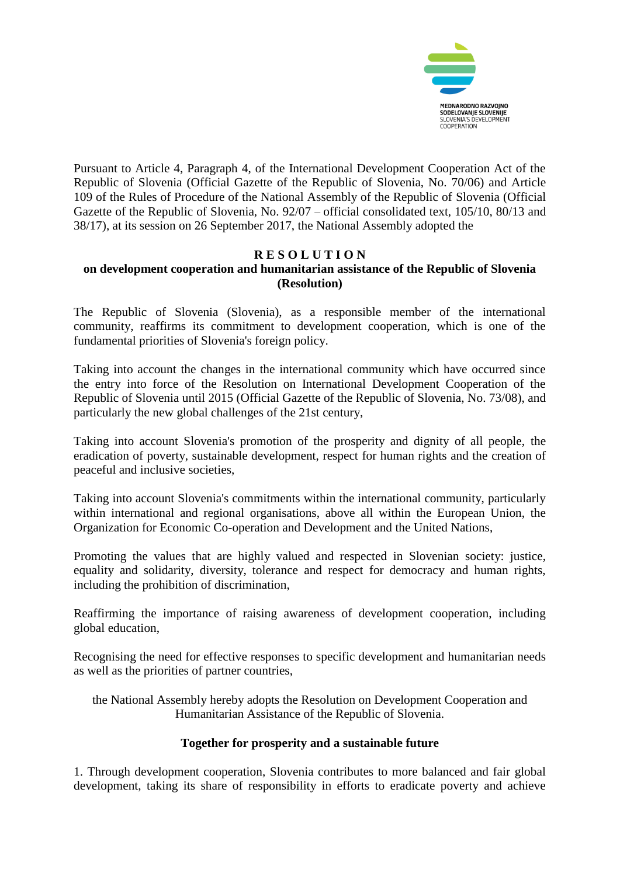

Pursuant to Article 4, Paragraph 4, of the International Development Cooperation Act of the Republic of Slovenia (Official Gazette of the Republic of Slovenia, No. 70/06) and Article 109 of the Rules of Procedure of the National Assembly of the Republic of Slovenia (Official Gazette of the Republic of Slovenia, No. 92/07 – official consolidated text, 105/10, 80/13 and 38/17), at its session on 26 September 2017, the National Assembly adopted the

# **R E S O L U T I O N**

# **on development cooperation and humanitarian assistance of the Republic of Slovenia (Resolution)**

The Republic of Slovenia (Slovenia), as a responsible member of the international community, reaffirms its commitment to development cooperation, which is one of the fundamental priorities of Slovenia's foreign policy.

Taking into account the changes in the international community which have occurred since the entry into force of the Resolution on International Development Cooperation of the Republic of Slovenia until 2015 (Official Gazette of the Republic of Slovenia, No. 73/08), and particularly the new global challenges of the 21st century,

Taking into account Slovenia's promotion of the prosperity and dignity of all people, the eradication of poverty, sustainable development, respect for human rights and the creation of peaceful and inclusive societies,

Taking into account Slovenia's commitments within the international community, particularly within international and regional organisations, above all within the European Union, the Organization for Economic Co-operation and Development and the United Nations,

Promoting the values that are highly valued and respected in Slovenian society: justice, equality and solidarity, diversity, tolerance and respect for democracy and human rights, including the prohibition of discrimination,

Reaffirming the importance of raising awareness of development cooperation, including global education,

Recognising the need for effective responses to specific development and humanitarian needs as well as the priorities of partner countries,

the National Assembly hereby adopts the Resolution on Development Cooperation and Humanitarian Assistance of the Republic of Slovenia.

# **Together for prosperity and a sustainable future**

1. Through development cooperation, Slovenia contributes to more balanced and fair global development, taking its share of responsibility in efforts to eradicate poverty and achieve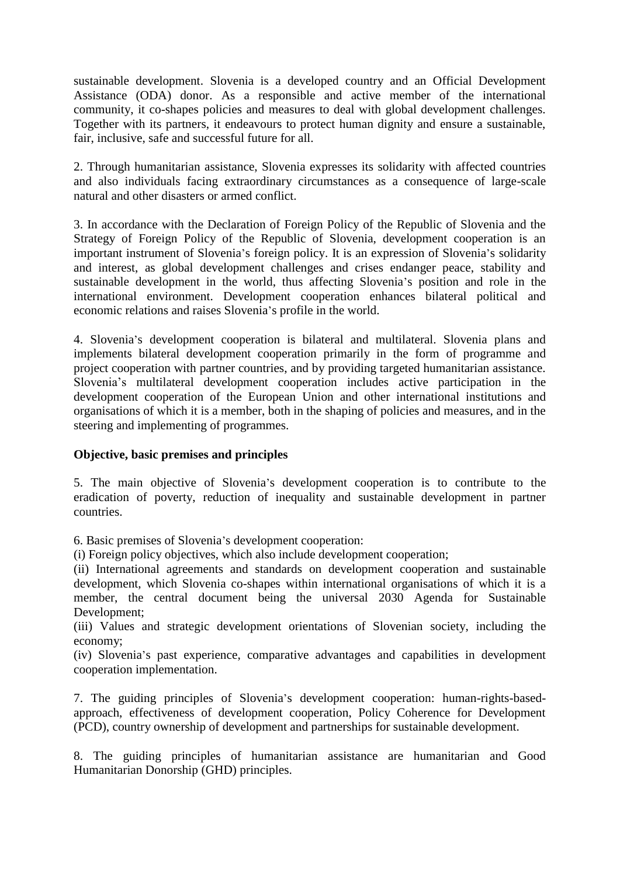sustainable development. Slovenia is a developed country and an Official Development Assistance (ODA) donor. As a responsible and active member of the international community, it co-shapes policies and measures to deal with global development challenges. Together with its partners, it endeavours to protect human dignity and ensure a sustainable, fair, inclusive, safe and successful future for all.

2. Through humanitarian assistance, Slovenia expresses its solidarity with affected countries and also individuals facing extraordinary circumstances as a consequence of large-scale natural and other disasters or armed conflict.

3. In accordance with the Declaration of Foreign Policy of the Republic of Slovenia and the Strategy of Foreign Policy of the Republic of Slovenia, development cooperation is an important instrument of Slovenia's foreign policy. It is an expression of Slovenia's solidarity and interest, as global development challenges and crises endanger peace, stability and sustainable development in the world, thus affecting Slovenia's position and role in the international environment. Development cooperation enhances bilateral political and economic relations and raises Slovenia's profile in the world.

4. Slovenia's development cooperation is bilateral and multilateral. Slovenia plans and implements bilateral development cooperation primarily in the form of programme and project cooperation with partner countries, and by providing targeted humanitarian assistance. Slovenia's multilateral development cooperation includes active participation in the development cooperation of the European Union and other international institutions and organisations of which it is a member, both in the shaping of policies and measures, and in the steering and implementing of programmes.

# **Objective, basic premises and principles**

5. The main objective of Slovenia's development cooperation is to contribute to the eradication of poverty, reduction of inequality and sustainable development in partner countries.

6. Basic premises of Slovenia's development cooperation:

(i) Foreign policy objectives, which also include development cooperation;

(ii) International agreements and standards on development cooperation and sustainable development, which Slovenia co-shapes within international organisations of which it is a member, the central document being the universal 2030 Agenda for Sustainable Development;

(iii) Values and strategic development orientations of Slovenian society, including the economy;

(iv) Slovenia's past experience, comparative advantages and capabilities in development cooperation implementation.

7. The guiding principles of Slovenia's development cooperation: human-rights-basedapproach, effectiveness of development cooperation, Policy Coherence for Development (PCD), country ownership of development and partnerships for sustainable development.

8. The guiding principles of humanitarian assistance are humanitarian and Good Humanitarian Donorship (GHD) principles.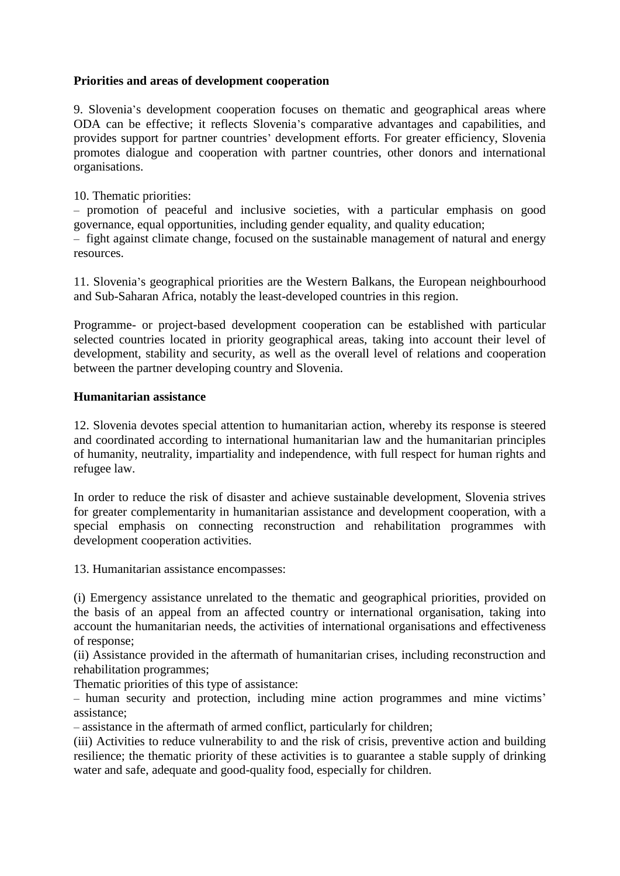### **Priorities and areas of development cooperation**

9. Slovenia's development cooperation focuses on thematic and geographical areas where ODA can be effective; it reflects Slovenia's comparative advantages and capabilities, and provides support for partner countries' development efforts. For greater efficiency, Slovenia promotes dialogue and cooperation with partner countries, other donors and international organisations.

10. Thematic priorities:

– promotion of peaceful and inclusive societies, with a particular emphasis on good governance, equal opportunities, including gender equality, and quality education;

– fight against climate change, focused on the sustainable management of natural and energy resources.

11. Slovenia's geographical priorities are the Western Balkans, the European neighbourhood and Sub-Saharan Africa, notably the least-developed countries in this region.

Programme- or project-based development cooperation can be established with particular selected countries located in priority geographical areas, taking into account their level of development, stability and security, as well as the overall level of relations and cooperation between the partner developing country and Slovenia.

#### **Humanitarian assistance**

12. Slovenia devotes special attention to humanitarian action, whereby its response is steered and coordinated according to international humanitarian law and the humanitarian principles of humanity, neutrality, impartiality and independence, with full respect for human rights and refugee law.

In order to reduce the risk of disaster and achieve sustainable development, Slovenia strives for greater complementarity in humanitarian assistance and development cooperation, with a special emphasis on connecting reconstruction and rehabilitation programmes with development cooperation activities.

13. Humanitarian assistance encompasses:

(i) Emergency assistance unrelated to the thematic and geographical priorities, provided on the basis of an appeal from an affected country or international organisation, taking into account the humanitarian needs, the activities of international organisations and effectiveness of response;

(ii) Assistance provided in the aftermath of humanitarian crises, including reconstruction and rehabilitation programmes;

Thematic priorities of this type of assistance:

– human security and protection, including mine action programmes and mine victims' assistance;

– assistance in the aftermath of armed conflict, particularly for children;

(iii) Activities to reduce vulnerability to and the risk of crisis, preventive action and building resilience; the thematic priority of these activities is to guarantee a stable supply of drinking water and safe, adequate and good-quality food, especially for children.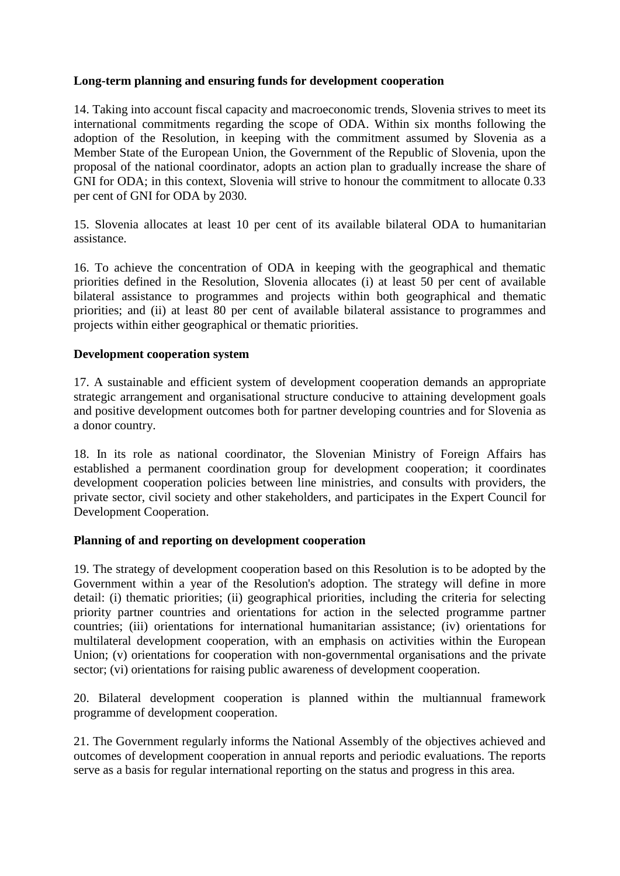### **Long-term planning and ensuring funds for development cooperation**

14. Taking into account fiscal capacity and macroeconomic trends, Slovenia strives to meet its international commitments regarding the scope of ODA. Within six months following the adoption of the Resolution, in keeping with the commitment assumed by Slovenia as a Member State of the European Union, the Government of the Republic of Slovenia, upon the proposal of the national coordinator, adopts an action plan to gradually increase the share of GNI for ODA; in this context, Slovenia will strive to honour the commitment to allocate 0.33 per cent of GNI for ODA by 2030.

15. Slovenia allocates at least 10 per cent of its available bilateral ODA to humanitarian assistance.

16. To achieve the concentration of ODA in keeping with the geographical and thematic priorities defined in the Resolution, Slovenia allocates (i) at least 50 per cent of available bilateral assistance to programmes and projects within both geographical and thematic priorities; and (ii) at least 80 per cent of available bilateral assistance to programmes and projects within either geographical or thematic priorities.

### **Development cooperation system**

17. A sustainable and efficient system of development cooperation demands an appropriate strategic arrangement and organisational structure conducive to attaining development goals and positive development outcomes both for partner developing countries and for Slovenia as a donor country.

18. In its role as national coordinator, the Slovenian Ministry of Foreign Affairs has established a permanent coordination group for development cooperation; it coordinates development cooperation policies between line ministries, and consults with providers, the private sector, civil society and other stakeholders, and participates in the Expert Council for Development Cooperation.

#### **Planning of and reporting on development cooperation**

19. The strategy of development cooperation based on this Resolution is to be adopted by the Government within a year of the Resolution's adoption. The strategy will define in more detail: (i) thematic priorities; (ii) geographical priorities, including the criteria for selecting priority partner countries and orientations for action in the selected programme partner countries; (iii) orientations for international humanitarian assistance; (iv) orientations for multilateral development cooperation, with an emphasis on activities within the European Union; (v) orientations for cooperation with non-governmental organisations and the private sector; (vi) orientations for raising public awareness of development cooperation.

20. Bilateral development cooperation is planned within the multiannual framework programme of development cooperation.

21. The Government regularly informs the National Assembly of the objectives achieved and outcomes of development cooperation in annual reports and periodic evaluations. The reports serve as a basis for regular international reporting on the status and progress in this area.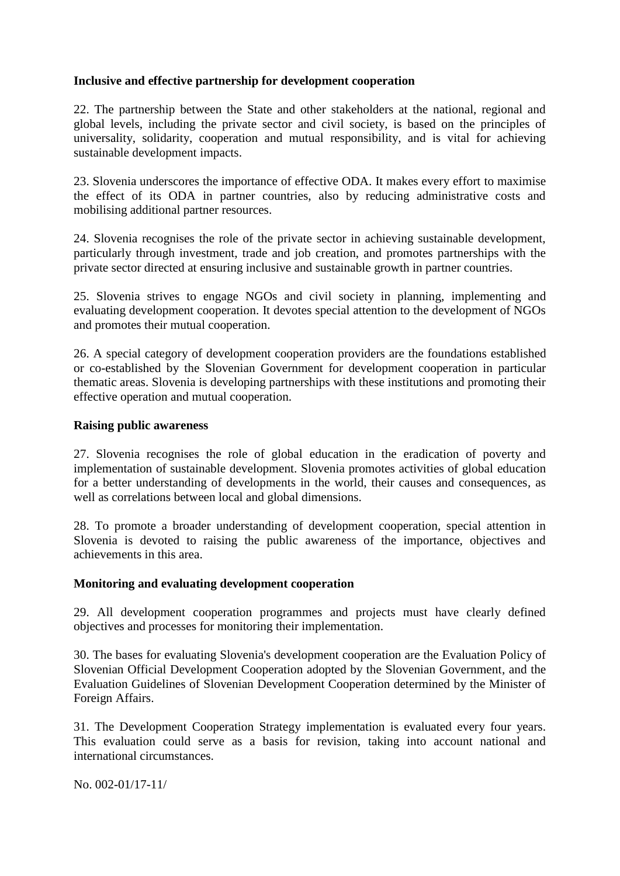### **Inclusive and effective partnership for development cooperation**

22. The partnership between the State and other stakeholders at the national, regional and global levels, including the private sector and civil society, is based on the principles of universality, solidarity, cooperation and mutual responsibility, and is vital for achieving sustainable development impacts.

23. Slovenia underscores the importance of effective ODA. It makes every effort to maximise the effect of its ODA in partner countries, also by reducing administrative costs and mobilising additional partner resources.

24. Slovenia recognises the role of the private sector in achieving sustainable development, particularly through investment, trade and job creation, and promotes partnerships with the private sector directed at ensuring inclusive and sustainable growth in partner countries.

25. Slovenia strives to engage NGOs and civil society in planning, implementing and evaluating development cooperation. It devotes special attention to the development of NGOs and promotes their mutual cooperation.

26. A special category of development cooperation providers are the foundations established or co-established by the Slovenian Government for development cooperation in particular thematic areas. Slovenia is developing partnerships with these institutions and promoting their effective operation and mutual cooperation.

#### **Raising public awareness**

27. Slovenia recognises the role of global education in the eradication of poverty and implementation of sustainable development. Slovenia promotes activities of global education for a better understanding of developments in the world, their causes and consequences, as well as correlations between local and global dimensions.

28. To promote a broader understanding of development cooperation, special attention in Slovenia is devoted to raising the public awareness of the importance, objectives and achievements in this area.

#### **Monitoring and evaluating development cooperation**

29. All development cooperation programmes and projects must have clearly defined objectives and processes for monitoring their implementation.

30. The bases for evaluating Slovenia's development cooperation are the Evaluation Policy of Slovenian Official Development Cooperation adopted by the Slovenian Government, and the Evaluation Guidelines of Slovenian Development Cooperation determined by the Minister of Foreign Affairs.

31. The Development Cooperation Strategy implementation is evaluated every four years. This evaluation could serve as a basis for revision, taking into account national and international circumstances.

No. 002-01/17-11/